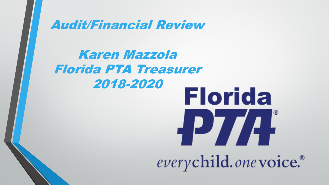Audit/Financial Review

Karen Mazzola Florida PTA Treasurer 2018-2020**Florida** PZA everychild.onevoice.<sup>®</sup>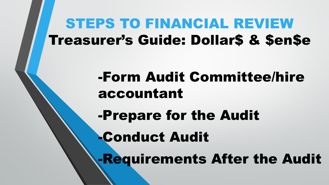## STEPS TO FINANCIAL REVIEW Treasurer's Guide: Dollar\$ & \$en\$e

## -Form Audit Committee/hire accountant

-Prepare for the Audit

-Conduct Audit

-Requirements After the Audit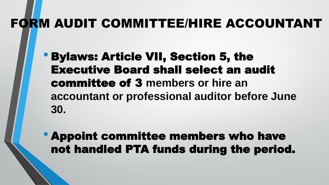## FORM AUDIT COMMITTEE/HIRE ACCOUNTANT

- Bylaws: Article VII, Section 5, the Executive Board shall select an audit committee of 3 **members or hire an accountant or professional auditor before June 30.**
- Appoint committee members who have not handled PTA funds during the period.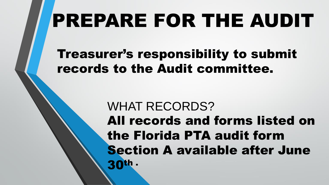# PREPARE FOR THE AUDIT

Treasurer's responsibility to submit records to the Audit committee.

> WHAT RECORDS? All records and forms listed on the Florida PTA audit form Section A available after June 30th .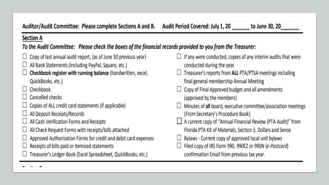### Auditor/Audit Committee: Please complete Sections A and B.

### **Section A**

### To the Audit Committee: Please check the boxes of the financial records provided to you from the Treasurer:

- $\Box$  Copy of last annual audit report, (as of June 30 previous year)
- $\Box$  All Bank Statements (including PayPal, Square, etc.)
- Checkbook register with running balance (handwritten, excel, QuickBooks, etc.)
- Checkbook
- **Cancelled checks**
- Copies of ALL credit card statements (if applicable)
- $\Box$  All Deposit Receipts/Records
- All Cash Verification Forms and Receipts
- All Check Request Forms with receipts/bills attached
- Approved Authorization Forms for credit and debit card expenses
- Receipts of bills paid or itemized statements
- □ Treasurer's Ledger Book (Excel Spreadsheet, QuickBooks, etc.)
- $\Box$  If any were conducted, copies of any interim audits that were conducted during the year
- $\Box$  Treasurer's reports from ALL PTA/PTSA meetings including final general membership Annual Meeting
- $\Box$  Copy of Final Approved budget and all amendments (approved by the members)
- Minutes of all board, executive committee/association meetings (From Secretary's Procedure Book)
- A current copy of "Annual Financial Review (PTA Audit)" from
- Florida PTA Kit of Materials, Section 3, Dollars and Sense
- Bylaws Current copy of approved local unit bylaws
- Filed copy of IRS Form 990, 990EZ or 990N (e-Postcard) confirmation Email from previous tax year.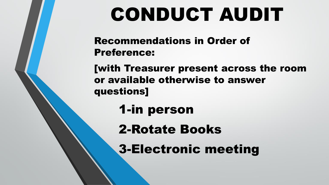# CONDUCT AUDIT

Recommendations in Order of Preference:

[with Treasurer present across the room or available otherwise to answer questions]

1-in person

2-Rotate Books

3-Electronic meeting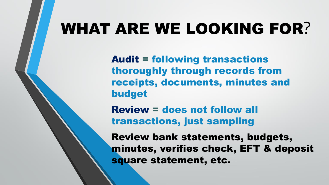# WHAT ARE WE LOOKING FOR?

Audit = following transactions thoroughly through records from receipts, documents, minutes and budget

Review = does not follow all transactions, just sampling

Review bank statements, budgets, minutes, verifies check, EFT & deposit square statement, etc.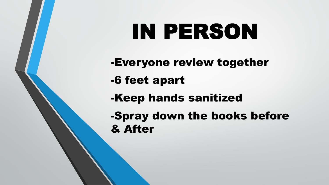# IN PERSON

-Everyone review together -6 feet apart -Keep hands sanitized -Spray down the books before & After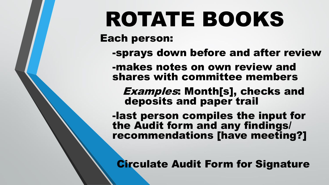# ROTATE BOOKS

Each person:

-sprays down before and after review

-makes notes on own review and shares with committee members

Examples: Month[s], checks and deposits and paper trail

-last person compiles the input for the Audit form and any findings/ recommendations [have meeting?]

Circulate Audit Form for Signature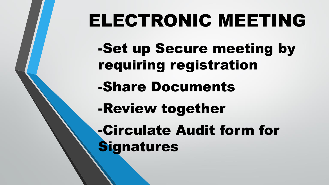# ELECTRONIC MEETING

-Set up Secure meeting by requiring registration

-Share Documents

-Review together

-Circulate Audit form for **Signatures**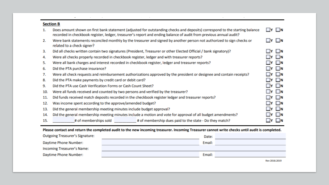| <b>Section B</b> |                                                                                                                                                                                                                                                   |                   |  |  |
|------------------|---------------------------------------------------------------------------------------------------------------------------------------------------------------------------------------------------------------------------------------------------|-------------------|--|--|
| 1.               | Does amount shown on first bank statement (adjusted for outstanding checks and deposits) correspond to the starting balance<br>recorded in checkbook register, ledger, treasurer's report and ending balance of audit from previous annual audit? | $\Box$ Y $\Box$ N |  |  |
| 2.               | Were bank statements reconciled monthly by the treasurer and signed by another person not authorized to sign checks or<br>related to a check signer?                                                                                              | $\Box$ y $\Box$ n |  |  |
| 3.               | Did all checks written contain two signatures (President, Treasurer or other Elected Official / bank signatory)?                                                                                                                                  | $\Box$ y $\Box$ n |  |  |
| 4.               | Were all checks properly recorded in checkbook register, ledger and with treasurer reports?                                                                                                                                                       | $\Box$ y $\Box$ n |  |  |
| 5.               | Were all bank charges and interest recorded in checkbook register, ledger and treasurer reports?                                                                                                                                                  | $\Box$ y $\Box$ n |  |  |
| 6.               | Did the PTA purchase insurance?                                                                                                                                                                                                                   | $\Box$ Y $\Box$ N |  |  |
| 7.               | Were all check requests and reimbursement authorizations approved by the president or designee and contain receipts?                                                                                                                              | $\Box$ y $\Box$ n |  |  |
| 8.               | Did the PTA make payments by credit card or debit card?                                                                                                                                                                                           | $\Box$ Y $\Box$ N |  |  |
| 9.               | Did the PTA use Cash Verification Forms or Cash Count Sheet?                                                                                                                                                                                      | $\Box$ y $\Box$ n |  |  |
| 10.              | Were all funds received and counted by two persons and verified by the treasurer?                                                                                                                                                                 | $\Box$ y $\Box$ n |  |  |
| 11.              | Did funds received match deposits recorded in the checkbook register ledger and treasurer reports?                                                                                                                                                | <b>IYIN</b>       |  |  |
| 12.              | Was income spent according to the approve/amended budget?                                                                                                                                                                                         | <b>IYIN</b>       |  |  |
| 13.              | Did the general membership meeting minutes include budget approval?                                                                                                                                                                               | $\Box$ y $\Box$ n |  |  |
| 14.              | Did the general membership meeting minutes include a motion and vote for approval of all budget amendments?                                                                                                                                       | $\Box$ y $\Box$ n |  |  |
| 15.              | # of memberships sold # of membership dues paid to the state - Do they match?                                                                                                                                                                     | ∟N                |  |  |

이 특히 이 사이에 대한 사이에 대한 사이에 대한 사이에 대한 사이에 대한 사이에 대한 사이에 대한 사이에 대한 사이에 대한 사이에 대한 사이에 대한 사이에 대한 사이에 대한 사이에 대한 사이에 대한

#### Please contact and return the completed audit to the new incoming treasurer. Incoming Treasurer cannot write checks until audit is completed.

| <b>Outgoing Treasurer's Signature:</b> | Date:  |  |
|----------------------------------------|--------|--|
| Daytime Phone Number:                  | Email: |  |
| Incoming Treasurer's Name:             |        |  |
| Daytime Phone Number:                  | Email: |  |
|                                        |        |  |

Rev 2018.2019

the control of the control of the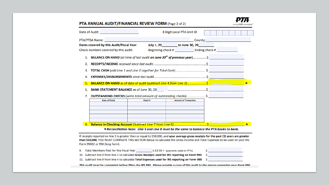#### PTA ANNUAL AUDIT/FINANCIAL REVIEW FORM (Page 2 of 2)

9. 10. 11.

| Date of Audit: ________________________                                                                        |                                                                        | 8 Digit Local PTA Unit ID                   |  |  |  |  |  |
|----------------------------------------------------------------------------------------------------------------|------------------------------------------------------------------------|---------------------------------------------|--|--|--|--|--|
| PTA/PTSA Name: Name and Second Contract of the Contract of the Contract of the Contract of the Contract of the |                                                                        |                                             |  |  |  |  |  |
| Dates covered by this Audit/Fiscal Year:                                                                       |                                                                        | July 1, 20 _________ to June 30, 20 _______ |  |  |  |  |  |
| Check numbers covered by this audit:                                                                           |                                                                        | Beginning check # Ending check #            |  |  |  |  |  |
| 1. BALANCE ON HAND (at time of last audit on June 30 <sup>th</sup> of previous year)\$                         |                                                                        |                                             |  |  |  |  |  |
|                                                                                                                |                                                                        |                                             |  |  |  |  |  |
|                                                                                                                |                                                                        |                                             |  |  |  |  |  |
|                                                                                                                |                                                                        |                                             |  |  |  |  |  |
|                                                                                                                |                                                                        |                                             |  |  |  |  |  |
| <b>BANK STATEMENT BALANCE</b> as of June 30, 20 <b>Construction Construction Construction</b> S                |                                                                        |                                             |  |  |  |  |  |
| 7.                                                                                                             | <b>OUTSTANDING CHECKS</b> (write total amount of outstanding checks)\$ |                                             |  |  |  |  |  |
| <b>Date of Check</b>                                                                                           | Check#                                                                 | <b>Amount of Transaction</b>                |  |  |  |  |  |
|                                                                                                                |                                                                        |                                             |  |  |  |  |  |
|                                                                                                                |                                                                        |                                             |  |  |  |  |  |
|                                                                                                                |                                                                        |                                             |  |  |  |  |  |
|                                                                                                                |                                                                        |                                             |  |  |  |  |  |
|                                                                                                                |                                                                        |                                             |  |  |  |  |  |

**P7A** 

everychild.onevoice.

\* Reconciliation Note: Line 5 and Line 8 must be the same to balance the PTA books to bank.

If receipts reported on line 2 is greater than or equal to \$50,000, and your average gross receipts for the past (3) years are greater than \$50,000, YOU MUST COMPLETE THIS SECTION below to calculate the Gross Income and Total Expenses to be used on your IRS Form 990EZ or 990 (long form).

| Total Members Paid for this Fiscal Year | $x$ \$3.50 = (payments made to FPTA)                                                       |  |
|-----------------------------------------|--------------------------------------------------------------------------------------------|--|
|                                         | Subtract line 9 from line 2 to calculate Gross Receipts used for IRS reporting on Form 990 |  |
|                                         | Subtract line 9 from line 4 to calculate Total Expenses used for IRS reporting on Form 990 |  |

This audit must he completed hefore filing the IRS 990 Dlease provide a conv of this audit to the person preparing your Form 990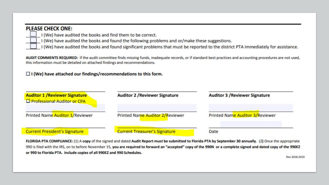#### **PLEASE CHECK ONE:**

- I (We) have audited the books and find them to be correct.
	- I (We) have audited the books and found the following problems and or/make these suggestions.
	- I (We) have audited the books and found significant problems that must be reported to the district PTA immediately for assistance.

AUDIT COMMENTS REQUIRED: If the audit committee finds missing funds, inadequate records, or if standard best practices and accounting procedures are not used, this information must be detailed on attached findings and recommendations.

#### $\Box$  I (We) have attached our findings/recommendations to this form.

| <b>Auditor 1 / Reviewer Signature</b><br>Professional Auditor or CPA | <b>Auditor 2 / Reviewer Signature</b> | <b>Auditor 3 / Reviewer Signature</b> |
|----------------------------------------------------------------------|---------------------------------------|---------------------------------------|
| Printed Name Auditor 1/Reviewer                                      | Printed Name Auditor 2/Reviewer       | Printed Name Auditor 3/Reviewer       |
| <b>Current President's Signature</b>                                 | <b>Current Treasurer's Signature</b>  | Date                                  |

FLORIDA PTA COMPLIANCE: (1) A copy of the signed and dated Audit Report must be submitted to Florida PTA by September 30 annually. (2) Once the appropriate 990 is filed with the IRS, on to before November 15, you are required to forward an "accepted" copy of the 990N or a complete signed and dated copy of the 990EZ or 990 to Florida PTA. Include copies of all 990EZ and 990 Schedules.

Rev 2018.2019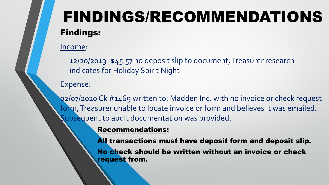# FINDINGS/RECOMMENDATIONS Findings:

### Income:

12/20/2019–\$45.57 no deposit slip to document, Treasurer research indicates for Holiday Spirit Night

### Expense:

02/07/2020 Ck #1469 written to: Madden Inc. with no invoice or check request form, Treasurer unable to locate invoice or form and believes it was emailed. Subsequent to audit documentation was provided.

### Recommendations:

All transactions must have deposit form and deposit slip.

No check should be written without an invoice or check request from.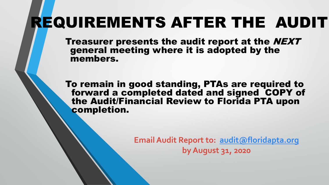# REQUIREMENTS AFTER THE AUDIT

Treasurer presents the audit report at the NEXT general meeting where it is adopted by the members.

To remain in good standing, PTAs are required to forward a completed dated and signed COPY of the Audit/Financial Review to Florida PTA upon completion.

> **Email Audit Report to: [audit@floridapta.org](mailto:audit@floridapta.org) by August 31, 2020**